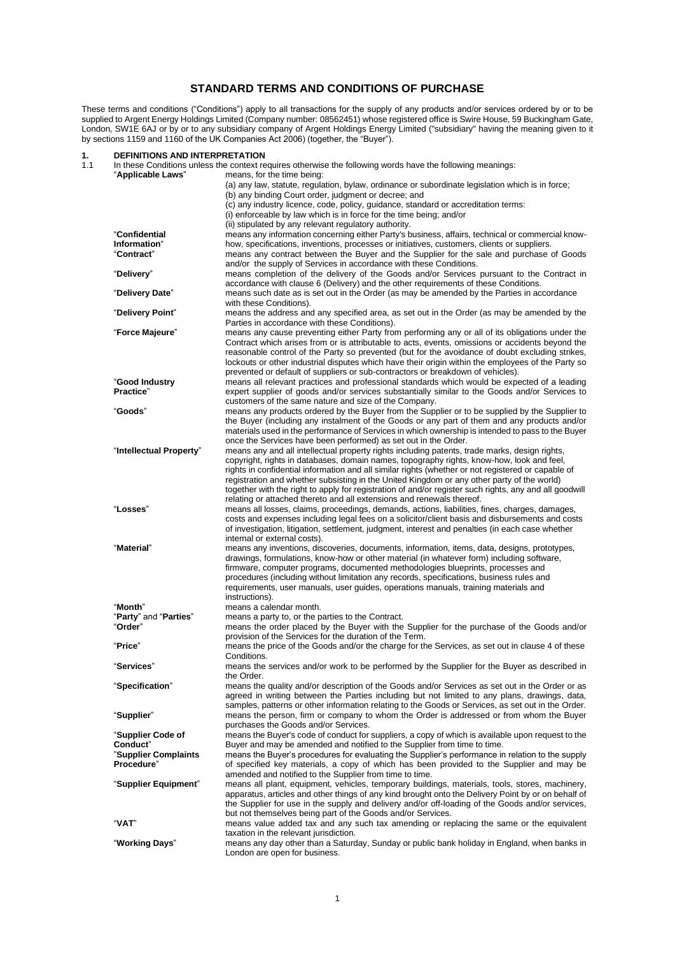#### **STANDARD TERMS AND CONDITIONS OF PURCHASE**

These terms and conditions ("Conditions") apply to all transactions for the supply of any products and/or services ordered by or to be supplied to Argent Energy Holdings Limited (Company number: 08562451) whose registered office is Swire House, 59 Buckingham Gate, London, SW1E 6AJ or by or to any subsidiary company of Argent Holdings Energy Limited ("subsidiary" having the meaning given to it by sections 1159 and 1160 of the UK Companies Act 2006) (together, the "Buyer").

# **1. DEFINITIONS AND INTERPRETATION**

| 1.1 |                               | In these Conditions unless the context requires otherwise the following words have the following meanings:                                                                                     |
|-----|-------------------------------|------------------------------------------------------------------------------------------------------------------------------------------------------------------------------------------------|
|     | "Applicable Laws"             | means, for the time being:                                                                                                                                                                     |
|     |                               | (a) any law, statute, regulation, bylaw, ordinance or subordinate legislation which is in force;                                                                                               |
|     |                               | (b) any binding Court order, judgment or decree; and<br>(c) any industry licence, code, policy, quidance, standard or accreditation terms:                                                     |
|     |                               | (i) enforceable by law which is in force for the time being; and/or                                                                                                                            |
|     |                               | (ii) stipulated by any relevant regulatory authority.                                                                                                                                          |
|     | "Confidential                 | means any information concerning either Party's business, affairs, technical or commercial know-                                                                                               |
|     | Information"                  | how, specifications, inventions, processes or initiatives, customers, clients or suppliers.                                                                                                    |
|     | "Contract"                    | means any contract between the Buyer and the Supplier for the sale and purchase of Goods                                                                                                       |
|     |                               | and/or the supply of Services in accordance with these Conditions.                                                                                                                             |
|     | "Delivery"                    | means completion of the delivery of the Goods and/or Services pursuant to the Contract in                                                                                                      |
|     |                               | accordance with clause 6 (Delivery) and the other requirements of these Conditions.                                                                                                            |
|     | "Delivery Date"               | means such date as is set out in the Order (as may be amended by the Parties in accordance<br>with these Conditions).                                                                          |
|     | "Delivery Point"              | means the address and any specified area, as set out in the Order (as may be amended by the<br>Parties in accordance with these Conditions).                                                   |
|     | "Force Majeure"               | means any cause preventing either Party from performing any or all of its obligations under the                                                                                                |
|     |                               | Contract which arises from or is attributable to acts, events, omissions or accidents beyond the                                                                                               |
|     |                               | reasonable control of the Party so prevented (but for the avoidance of doubt excluding strikes,                                                                                                |
|     |                               | lockouts or other industrial disputes which have their origin within the employees of the Party so                                                                                             |
|     |                               | prevented or default of suppliers or sub-contractors or breakdown of vehicles).                                                                                                                |
|     | "Good Industry                | means all relevant practices and professional standards which would be expected of a leading                                                                                                   |
|     | Practice"                     | expert supplier of goods and/or services substantially similar to the Goods and/or Services to                                                                                                 |
|     |                               | customers of the same nature and size of the Company.                                                                                                                                          |
|     | "Goods"                       | means any products ordered by the Buyer from the Supplier or to be supplied by the Supplier to<br>the Buyer (including any instalment of the Goods or any part of them and any products and/or |
|     |                               | materials used in the performance of Services in which ownership is intended to pass to the Buyer                                                                                              |
|     |                               | once the Services have been performed) as set out in the Order.                                                                                                                                |
|     | "Intellectual Property"       | means any and all intellectual property rights including patents, trade marks, design rights,                                                                                                  |
|     |                               | copyright, rights in databases, domain names, topography rights, know-how, look and feel,                                                                                                      |
|     |                               | rights in confidential information and all similar rights (whether or not registered or capable of                                                                                             |
|     |                               | registration and whether subsisting in the United Kingdom or any other party of the world)                                                                                                     |
|     |                               | together with the right to apply for registration of and/or register such rights, any and all goodwill                                                                                         |
|     |                               | relating or attached thereto and all extensions and renewals thereof.                                                                                                                          |
|     | "Losses"                      | means all losses, claims, proceedings, demands, actions, liabilities, fines, charges, damages,                                                                                                 |
|     |                               | costs and expenses including legal fees on a solicitor/client basis and disbursements and costs                                                                                                |
|     |                               | of investigation, litigation, settlement, judgment, interest and penalties (in each case whether<br>internal or external costs).                                                               |
|     | "Material"                    | means any inventions, discoveries, documents, information, items, data, designs, prototypes,                                                                                                   |
|     |                               | drawings, formulations, know-how or other material (in whatever form) including software,                                                                                                      |
|     |                               | firmware, computer programs, documented methodologies blueprints, processes and                                                                                                                |
|     |                               | procedures (including without limitation any records, specifications, business rules and                                                                                                       |
|     |                               | requirements, user manuals, user guides, operations manuals, training materials and                                                                                                            |
|     |                               | instructions).                                                                                                                                                                                 |
|     | "Month"                       | means a calendar month.                                                                                                                                                                        |
|     | "Party" and "Parties"         | means a party to, or the parties to the Contract.                                                                                                                                              |
|     | "Order"                       | means the order placed by the Buyer with the Supplier for the purchase of the Goods and/or<br>provision of the Services for the duration of the Term.                                          |
|     | "Price"                       | means the price of the Goods and/or the charge for the Services, as set out in clause 4 of these                                                                                               |
|     |                               | Conditions.                                                                                                                                                                                    |
|     | "Services"                    | means the services and/or work to be performed by the Supplier for the Buyer as described in                                                                                                   |
|     |                               | the Order.                                                                                                                                                                                     |
|     | "Specification"               | means the quality and/or description of the Goods and/or Services as set out in the Order or as                                                                                                |
|     |                               | agreed in writing between the Parties including but not limited to any plans, drawings, data,                                                                                                  |
|     |                               | samples, patterns or other information relating to the Goods or Services, as set out in the Order.                                                                                             |
|     | "Supplier"                    | means the person, firm or company to whom the Order is addressed or from whom the Buyer                                                                                                        |
|     |                               | purchases the Goods and/or Services.<br>means the Buyer's code of conduct for suppliers, a copy of which is available upon request to the                                                      |
|     | "Supplier Code of<br>Conduct" | Buyer and may be amended and notified to the Supplier from time to time.                                                                                                                       |
|     | "Supplier Complaints          | means the Buyer's procedures for evaluating the Supplier's performance in relation to the supply                                                                                               |
|     | Procedure"                    | of specified key materials, a copy of which has been provided to the Supplier and may be                                                                                                       |
|     |                               | amended and notified to the Supplier from time to time.                                                                                                                                        |
|     | "Supplier Equipment"          | means all plant, equipment, vehicles, temporary buildings, materials, tools, stores, machinery,                                                                                                |
|     |                               | apparatus, articles and other things of any kind brought onto the Delivery Point by or on behalf of                                                                                            |
|     |                               | the Supplier for use in the supply and delivery and/or off-loading of the Goods and/or services,                                                                                               |
|     |                               | but not themselves being part of the Goods and/or Services.                                                                                                                                    |
|     | "VAT"                         | means value added tax and any such tax amending or replacing the same or the equivalent                                                                                                        |
|     |                               | taxation in the relevant jurisdiction.                                                                                                                                                         |
|     | "Working Days"                | means any day other than a Saturday, Sunday or public bank holiday in England, when banks in<br>London are open for business.                                                                  |
|     |                               |                                                                                                                                                                                                |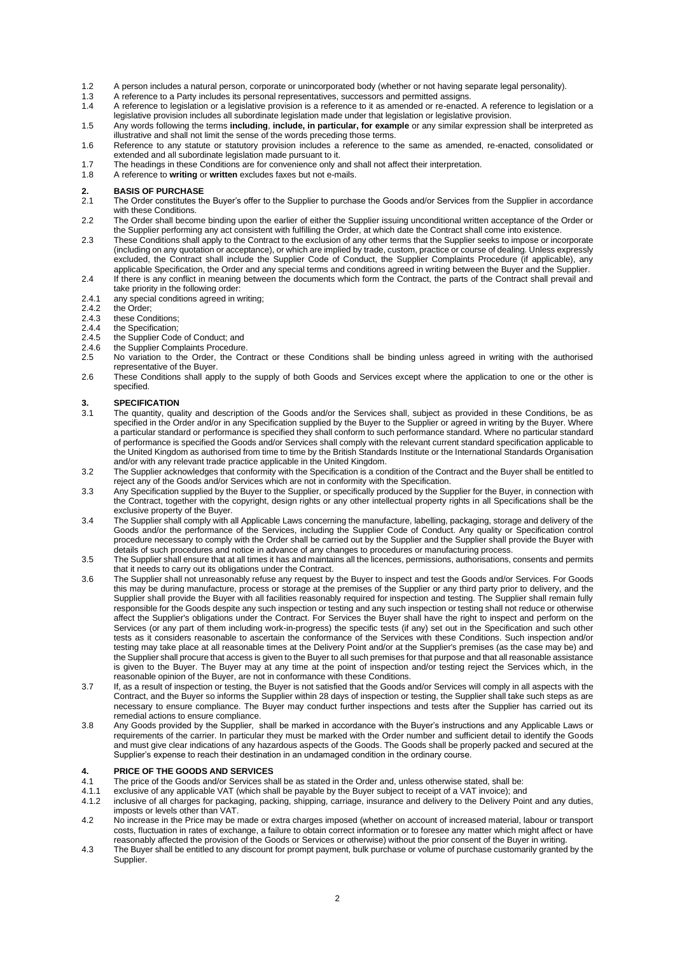- 1.2 A person includes a natural person, corporate or unincorporated body (whether or not having separate legal personality).<br>1.3 A reference to a Party includes its personal representatives, successors and permitted assign
- 1.3 A reference to a Party includes its personal representatives, successors and permitted assigns.<br>1.4 A reference to legislation or a legislative provision is a reference to it as amended or re-enacte
- 1.4 A reference to legislation or a legislative provision is a reference to it as amended or re-enacted. A reference to legislation or a legislative provision includes all subordinate legislation made under that legislation or legislative provision.
- 1.5 Any words following the terms **including**, **include, in particular, for example** or any similar expression shall be interpreted as illustrative and shall not limit the sense of the words preceding those terms.
- 1.6 Reference to any statute or statutory provision includes a reference to the same as amended, re-enacted, consolidated or extended and all subordinate legislation made pursuant to it.
- 1.7 The headings in these Conditions are for convenience only and shall not affect their interpretation.<br>1.8 A reference to **writing** or written excludes faxes but not e-mails.
- A reference to **writing** or **written** excludes faxes but not e-mails.

### **2. BASIS OF PURCHASE**

- The Order constitutes the Buyer's offer to the Supplier to purchase the Goods and/or Services from the Supplier in accordance with these Conditions.
- 2.2 The Order shall become binding upon the earlier of either the Supplier issuing unconditional written acceptance of the Order or the Supplier performing any act consistent with fulfilling the Order, at which date the Contract shall come into existence.
- 2.3 These Conditions shall apply to the Contract to the exclusion of any other terms that the Supplier seeks to impose or incorporate (including on any quotation or acceptance), or which are implied by trade, custom, practice or course of dealing. Unless expressly excluded, the Contract shall include the Supplier Code of Conduct, the Supplier Complaints Procedure (if applicable), any applicable Specification, the Order and any special terms and conditions agreed in writing between the Buyer and the Supplier.
- 2.4 If there is any conflict in meaning between the documents which form the Contract, the parts of the Contract shall prevail and take priority in the following order:
- 2.4.1 any special conditions agreed in writing;<br>2.4.2 the Order;
- 2.4.2 the Order;<br>2.4.3 these Cone
- 2.4.3 these Conditions;<br>2.4.4 the Specification;
- 2.4.4 the Specification;<br>2.4.5 the Supplier Code
- the Supplier Code of Conduct; and
- 2.4.6 the Supplier Complaints Procedure.<br>2.5 No variation to the Order, the Co
- No variation to the Order, the Contract or these Conditions shall be binding unless agreed in writing with the authorised representative of the Buyer.
- 2.6 These Conditions shall apply to the supply of both Goods and Services except where the application to one or the other is specified.

## **3. SPECIFICATION**

- The quantity, quality and description of the Goods and/or the Services shall, subject as provided in these Conditions, be as specified in the Order and/or in any Specification supplied by the Buyer to the Supplier or agreed in writing by the Buyer. Where a particular standard or performance is specified they shall conform to such performance standard. Where no particular standard of performance is specified the Goods and/or Services shall comply with the relevant current standard specification applicable to the United Kingdom as authorised from time to time by the British Standards Institute or the International Standards Organisation and/or with any relevant trade practice applicable in the United Kingdom.
- 3.2 The Supplier acknowledges that conformity with the Specification is a condition of the Contract and the Buyer shall be entitled to reject any of the Goods and/or Services which are not in conformity with the Specification.
- 3.3 Any Specification supplied by the Buyer to the Supplier, or specifically produced by the Supplier for the Buyer, in connection with the Contract, together with the copyright, design rights or any other intellectual property rights in all Specifications shall be the exclusive property of the Buyer.
- 3.4 The Supplier shall comply with all Applicable Laws concerning the manufacture, labelling, packaging, storage and delivery of the Goods and/or the performance of the Services, including the Supplier Code of Conduct. Any quality or Specification control procedure necessary to comply with the Order shall be carried out by the Supplier and the Supplier shall provide the Buyer with details of such procedures and notice in advance of any changes to procedures or manufacturing process.
- 3.5 The Supplier shall ensure that at all times it has and maintains all the licences, permissions, authorisations, consents and permits that it needs to carry out its obligations under the Contract.
- 3.6 The Supplier shall not unreasonably refuse any request by the Buyer to inspect and test the Goods and/or Services. For Goods this may be during manufacture, process or storage at the premises of the Supplier or any third party prior to delivery, and the Supplier shall provide the Buyer with all facilities reasonably required for inspection and testing. The Supplier shall remain fully responsible for the Goods despite any such inspection or testing and any such inspection or testing shall not reduce or otherwise affect the Supplier's obligations under the Contract. For Services the Buyer shall have the right to inspect and perform on the Services (or any part of them including work-in-progress) the specific tests (if any) set out in the Specification and such other tests as it considers reasonable to ascertain the conformance of the Services with these Conditions. Such inspection and/or testing may take place at all reasonable times at the Delivery Point and/or at the Supplier's premises (as the case may be) and the Supplier shall procure that access is given to the Buyer to all such premises for that purpose and that all reasonable assistance is given to the Buyer. The Buyer may at any time at the point of inspection and/or testing reject the Services which, in the reasonable opinion of the Buyer, are not in conformance with these Conditions.
- 3.7 If, as a result of inspection or testing, the Buyer is not satisfied that the Goods and/or Services will comply in all aspects with the Contract, and the Buyer so informs the Supplier within 28 days of inspection or testing, the Supplier shall take such steps as are necessary to ensure compliance. The Buyer may conduct further inspections and tests after the Supplier has carried out its remedial actions to ensure compliance.
- 3.8 Any Goods provided by the Supplier, shall be marked in accordance with the Buyer's instructions and any Applicable Laws or requirements of the carrier. In particular they must be marked with the Order number and sufficient detail to identify the Goods and must give clear indications of any hazardous aspects of the Goods. The Goods shall be properly packed and secured at the Supplier's expense to reach their destination in an undamaged condition in the ordinary course.

#### <span id="page-1-0"></span>**4. PRICE OF THE GOODS AND SERVICES**

- 4.1 The price of the Goods and/or Services shall be as stated in the Order and, unless otherwise stated, shall be:<br>4.1.1 exclusive of any applicable VAT (which shall be payable by the Buyer subject to receipt of a VAT invo
- 4.1.1 exclusive of any applicable VAT (which shall be payable by the Buyer subject to receipt of a VAT invoice); and<br>4.1.2 inclusive of all charges for packaging, packing, shipping, carriage, insurance and delivery to the
- inclusive of all charges for packaging, packing, shipping, carriage, insurance and delivery to the Delivery Point and any duties, imposts or levels other than VAT.
- 4.2 No increase in the Price may be made or extra charges imposed (whether on account of increased material, labour or transport costs, fluctuation in rates of exchange, a failure to obtain correct information or to foresee any matter which might affect or have reasonably affected the provision of the Goods or Services or otherwise) without the prior consent of the Buyer in writing.
- 4.3 The Buyer shall be entitled to any discount for prompt payment, bulk purchase or volume of purchase customarily granted by the Supplier.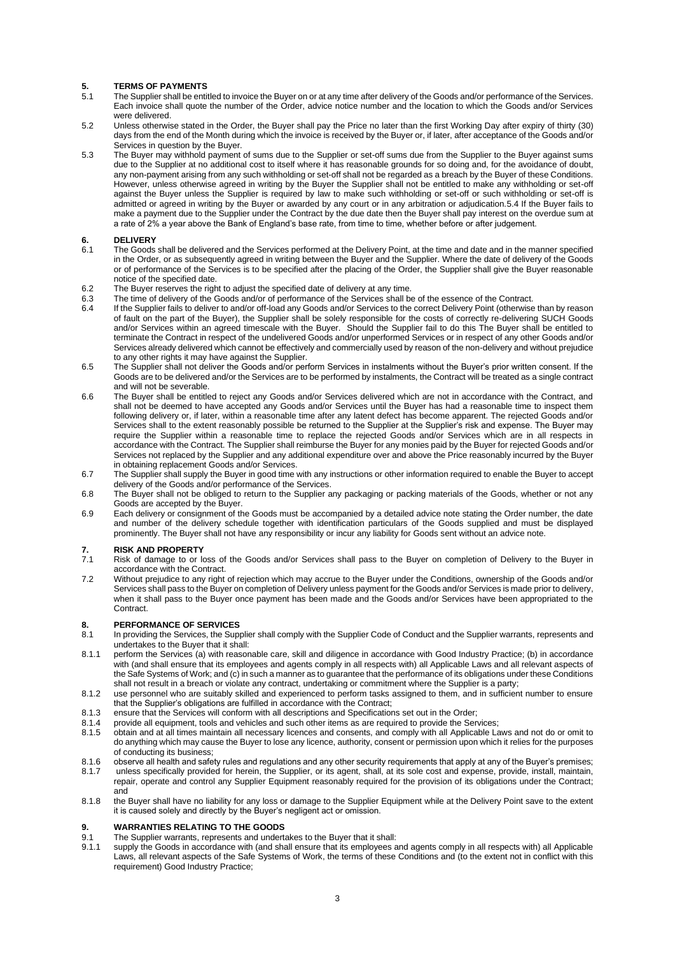## **5. TERMS OF PAYMENTS**

- The Supplier shall be entitled to invoice the Buyer on or at any time after delivery of the Goods and/or performance of the Services. Each invoice shall quote the number of the Order, advice notice number and the location to which the Goods and/or Services were delivered.
- 5.2 Unless otherwise stated in the Order, the Buyer shall pay the Price no later than the first Working Day after expiry of thirty (30) days from the end of the Month during which the invoice is received by the Buyer or, if later, after acceptance of the Goods and/or Services in question by the Buyer.
- 5.3 The Buyer may withhold payment of sums due to the Supplier or set-off sums due from the Supplier to the Buyer against sums due to the Supplier at no additional cost to itself where it has reasonable grounds for so doing and, for the avoidance of doubt, any non-payment arising from any such withholding or set-off shall not be regarded as a breach by the Buyer of these Conditions. However, unless otherwise agreed in writing by the Buyer the Supplier shall not be entitled to make any withholding or set-off against the Buyer unless the Supplier is required by law to make such withholding or set-off or such withholding or set-off is admitted or agreed in writing by the Buyer or awarded by any court or in any arbitration or adjudication.5.4 If the Buyer fails to make a payment due to the Supplier under the Contract by the due date then the Buyer shall pay interest on the overdue sum at a rate of 2% a year above the Bank of England's base rate, from time to time, whether before or after judgement.

#### <span id="page-2-0"></span>**6. DELIVERY**

- 6.1 The Goods shall be delivered and the Services performed at the Delivery Point, at the time and date and in the manner specified in the Order, or as subsequently agreed in writing between the Buyer and the Supplier. Where the date of delivery of the Goods or of performance of the Services is to be specified after the placing of the Order, the Supplier shall give the Buyer reasonable notice of the specified date.
- 6.2 The Buyer reserves the right to adjust the specified date of delivery at any time.<br>6.3 The time of delivery of the Goods and/or of performance of the Services shall be
- 6.3 The time of delivery of the Goods and/or of performance of the Services shall be of the essence of the Contract.<br>6.4 If the Supplier fails to deliver to and/or off-load any Goods and/or Services to the correct Delivery
- If the Supplier fails to deliver to and/or off-load any Goods and/or Services to the correct Delivery Point (otherwise than by reason of fault on the part of the Buyer), the Supplier shall be solely responsible for the costs of correctly re-delivering SUCH Goods and/or Services within an agreed timescale with the Buyer. Should the Supplier fail to do this The Buyer shall be entitled to terminate the Contract in respect of the undelivered Goods and/or unperformed Services or in respect of any other Goods and/or Services already delivered which cannot be effectively and commercially used by reason of the non-delivery and without prejudice to any other rights it may have against the Supplier.
- 6.5 The Supplier shall not deliver the Goods and/or perform Services in instalments without the Buyer's prior written consent. If the Goods are to be delivered and/or the Services are to be performed by instalments, the Contract will be treated as a single contract and will not be severable.
- 6.6 The Buyer shall be entitled to reject any Goods and/or Services delivered which are not in accordance with the Contract, and shall not be deemed to have accepted any Goods and/or Services until the Buyer has had a reasonable time to inspect them following delivery or, if later, within a reasonable time after any latent defect has become apparent. The rejected Goods and/or Services shall to the extent reasonably possible be returned to the Supplier at the Supplier's risk and expense. The Buyer may require the Supplier within a reasonable time to replace the rejected Goods and/or Services which are in all respects in accordance with the Contract. The Supplier shall reimburse the Buyer for any monies paid by the Buyer for rejected Goods and/or Services not replaced by the Supplier and any additional expenditure over and above the Price reasonably incurred by the Buyer in obtaining replacement Goods and/or Services.
- 6.7 The Supplier shall supply the Buyer in good time with any instructions or other information required to enable the Buyer to accept delivery of the Goods and/or performance of the Services.
- 6.8 The Buyer shall not be obliged to return to the Supplier any packaging or packing materials of the Goods, whether or not any Goods are accepted by the Buyer.
- 6.9 Each delivery or consignment of the Goods must be accompanied by a detailed advice note stating the Order number, the date and number of the delivery schedule together with identification particulars of the Goods supplied and must be displayed prominently. The Buyer shall not have any responsibility or incur any liability for Goods sent without an advice note.

## **7. RISK AND PROPERTY**<br>**7.1** Risk of damage to or low

- Risk of damage to or loss of the Goods and/or Services shall pass to the Buyer on completion of Delivery to the Buyer in accordance with the Contract.
- 7.2 Without prejudice to any right of rejection which may accrue to the Buyer under the Conditions, ownership of the Goods and/or Services shall pass to the Buyer on completion of Delivery unless payment for the Goods and/or Services is made prior to delivery, when it shall pass to the Buyer once payment has been made and the Goods and/or Services have been appropriated to the Contract.

#### **8. PERFORMANCE OF SERVICES**

- 8.1 In providing the Services, the Supplier shall comply with the Supplier Code of Conduct and the Supplier warrants, represents and undertakes to the Buyer that it shall:
- 8.1.1 perform the Services (a) with reasonable care, skill and diligence in accordance with Good Industry Practice; (b) in accordance with (and shall ensure that its employees and agents comply in all respects with) all Applicable Laws and all relevant aspects of the Safe Systems of Work; and (c) in such a manner as to guarantee that the performance of its obligations under these Conditions shall not result in a breach or violate any contract, undertaking or commitment where the Supplier is a party;
- 8.1.2 use personnel who are suitably skilled and experienced to perform tasks assigned to them, and in sufficient number to ensure that the Supplier's obligations are fulfilled in accordance with the Contract;
- 
- 8.1.3 ensure that the Services will conform with all descriptions and Specifications set out in the Order;<br>8.1.4 provide all equipment, tools and vehicles and such other items as are required to provide the Ser
- 8.1.4 provide all equipment, tools and vehicles and such other items as are required to provide the Services;<br>8.1.5 obtain and at all times maintain all necessary licences and consents, and comply with all Applicable La 8.1.5 obtain and at all times maintain all necessary licences and consents, and comply with all Applicable Laws and not do or omit to do anything which may cause the Buyer to lose any licence, authority, consent or permission upon which it relies for the purposes of conducting its business;
- 8.1.6 observe all health and safety rules and regulations and any other security requirements that apply at any of the Buyer's premises;
- 8.1.7 unless specifically provided for herein, the Supplier, or its agent, shall, at its sole cost and expense, provide, install, maintain, repair, operate and control any Supplier Equipment reasonably required for the provision of its obligations under the Contract; and
- 8.1.8 the Buyer shall have no liability for any loss or damage to the Supplier Equipment while at the Delivery Point save to the extent it is caused solely and directly by the Buyer's negligent act or omission.

### **9. WARRANTIES RELATING TO THE GOODS**

- 9.1 The Supplier warrants, represents and undertakes to the Buyer that it shall:<br>9.1.1 supply the Goods in accordance with (and shall ensure that its employees a
- 9.1.1 supply the Goods in accordance with (and shall ensure that its employees and agents comply in all respects with) all Applicable Laws, all relevant aspects of the Safe Systems of Work, the terms of these Conditions and (to the extent not in conflict with this requirement) Good Industry Practice;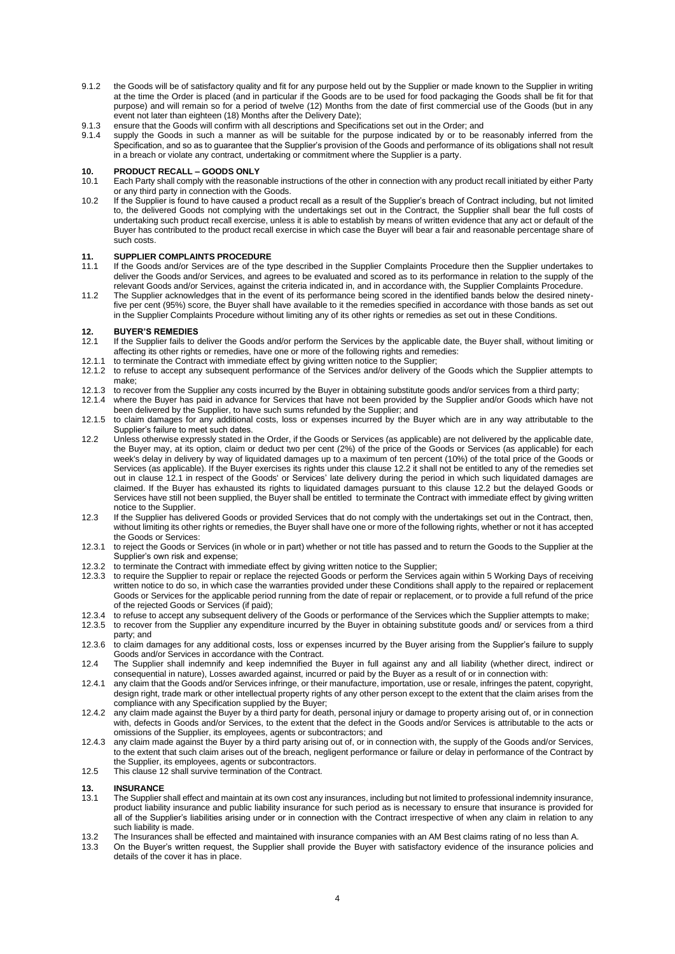- 9.1.2 the Goods will be of satisfactory quality and fit for any purpose held out by the Supplier or made known to the Supplier in writing at the time the Order is placed (and in particular if the Goods are to be used for food packaging the Goods shall be fit for that purpose) and will remain so for a period of twelve (12) Months from the date of first commercial use of the Goods (but in any event not later than eighteen (18) Months after the Delivery Date);
- 9.1.3 ensure that the Goods will confirm with all descriptions and Specifications set out in the Order; and
- 9.1.4 supply the Goods in such a manner as will be suitable for the purpose indicated by or to be reasonably inferred from the Specification, and so as to guarantee that the Supplier's provision of the Goods and performance of its obligations shall not result in a breach or violate any contract, undertaking or commitment where the Supplier is a party.

## **10. PRODUCT RECALL – GOODS ONLY**

- Each Party shall comply with the reasonable instructions of the other in connection with any product recall initiated by either Party or any third party in connection with the Goods.
- 10.2 If the Supplier is found to have caused a product recall as a result of the Supplier's breach of Contract including, but not limited to, the delivered Goods not complying with the undertakings set out in the Contract, the Supplier shall bear the full costs of undertaking such product recall exercise, unless it is able to establish by means of written evidence that any act or default of the Buyer has contributed to the product recall exercise in which case the Buyer will bear a fair and reasonable percentage share of such costs.

### **11. SUPPLIER COMPLAINTS PROCEDURE**

- 11.1 If the Goods and/or Services are of the type described in the Supplier Complaints Procedure then the Supplier undertakes to deliver the Goods and/or Services, and agrees to be evaluated and scored as to its performance in relation to the supply of the relevant Goods and/or Services, against the criteria indicated in, and in accordance with, the Supplier Complaints Procedure.
- 11.2 The Supplier acknowledges that in the event of its performance being scored in the identified bands below the desired ninetyfive per cent (95%) score, the Buyer shall have available to it the remedies specified in accordance with those bands as set out in the Supplier Complaints Procedure without limiting any of its other rights or remedies as set out in these Conditions.

### <span id="page-3-2"></span>**12. BUYER'S REMEDIES**

- <span id="page-3-1"></span>If the Supplier fails to deliver the Goods and/or perform the Services by the applicable date, the Buyer shall, without limiting or affecting its other rights or remedies, have one or more of the following rights and remedies:
- 12.1.1 to terminate the Contract with immediate effect by giving written notice to the Supplier;
- 12.1.2 to refuse to accept any subsequent performance of the Services and/or delivery of the Goods which the Supplier attempts to make;
- 12.1.3 to recover from the Supplier any costs incurred by the Buyer in obtaining substitute goods and/or services from a third party;<br>12.1.4 where the Buyer has paid in advance for Services that have not been provided by t
- where the Buyer has paid in advance for Services that have not been provided by the Supplier and/or Goods which have not been delivered by the Supplier, to have such sums refunded by the Supplier; and
- 12.1.5 to claim damages for any additional costs, loss or expenses incurred by the Buyer which are in any way attributable to the Supplier's failure to meet such dates.
- <span id="page-3-0"></span>12.2 Unless otherwise expressly stated in the Order, if the Goods or Services (as applicable) are not delivered by the applicable date, the Buyer may, at its option, claim or deduct two per cent (2%) of the price of the Goods or Services (as applicable) for each week's delay in delivery by way of liquidated damages up to a maximum of ten percent (10%) of the total price of the Goods or Services (as applicable). If the Buyer exercises its rights under this claus[e 12.2](#page-3-0) it shall not be entitled to any of the remedies set out in clause [12.1](#page-3-1) in respect of the Goods' or Services' late delivery during the period in which such liquidated damages are claimed. If the Buyer has exhausted its rights to liquidated damages pursuant to this clause [12.2](#page-3-0) but the delayed Goods or Services have still not been supplied, the Buyer shall be entitled to terminate the Contract with immediate effect by giving written notice to the Supplier.
- 12.3 If the Supplier has delivered Goods or provided Services that do not comply with the undertakings set out in the Contract, then, without limiting its other rights or remedies, the Buyer shall have one or more of the following rights, whether or not it has accepted the Goods or Services:
- 12.3.1 to reject the Goods or Services (in whole or in part) whether or not title has passed and to return the Goods to the Supplier at the Supplier's own risk and expense;
- 12.3.2 to terminate the Contract with immediate effect by giving written notice to the Supplier;<br>12.3.3 to require the Supplier to repair or replace the rejected Goods or perform the Services
- to require the Supplier to repair or replace the rejected Goods or perform the Services again within 5 Working Days of receiving written notice to do so, in which case the warranties provided under these Conditions shall apply to the repaired or replacement Goods or Services for the applicable period running from the date of repair or replacement, or to provide a full refund of the price of the rejected Goods or Services (if paid);
- 12.3.4 to refuse to accept any subsequent delivery of the Goods or performance of the Services which the Supplier attempts to make;
- 12.3.5 to recover from the Supplier any expenditure incurred by the Buyer in obtaining substitute goods and/ or services from a third party; and
- 12.3.6 to claim damages for any additional costs, loss or expenses incurred by the Buyer arising from the Supplier's failure to supply Goods and/or Services in accordance with the Contract.
- 12.4 The Supplier shall indemnify and keep indemnified the Buyer in full against any and all liability (whether direct, indirect or consequential in nature), Losses awarded against, incurred or paid by the Buyer as a result of or in connection with:
- 12.4.1 any claim that the Goods and/or Services infringe, or their manufacture, importation, use or resale, infringes the patent, copyright, design right, trade mark or other intellectual property rights of any other person except to the extent that the claim arises from the compliance with any Specification supplied by the Buyer;
- 12.4.2 any claim made against the Buyer by a third party for death, personal injury or damage to property arising out of, or in connection with, defects in Goods and/or Services, to the extent that the defect in the Goods and/or Services is attributable to the acts or omissions of the Supplier, its employees, agents or subcontractors; and
- 12.4.3 any claim made against the Buyer by a third party arising out of, or in connection with, the supply of the Goods and/or Services, to the extent that such claim arises out of the breach, negligent performance or failure or delay in performance of the Contract by the Supplier, its employees, agents or subcontractors.
- 12.5 This claus[e 12](#page-3-2) shall survive termination of the Contract.

## **13. INSURANCE**

- <span id="page-3-3"></span>The Supplier shall effect and maintain at its own cost any insurances, including but not limited to professional indemnity insurance, product liability insurance and public liability insurance for such period as is necessary to ensure that insurance is provided for all of the Supplier's liabilities arising under or in connection with the Contract irrespective of when any claim in relation to any such liability is made.
- 13.2 The Insurances shall be effected and maintained with insurance companies with an AM Best claims rating of no less than A.<br>13.3 On the Buver's written request the Supplier shall provide the Buver with satisfactory evid
- 13.3 On the Buyer's written request, the Supplier shall provide the Buyer with satisfactory evidence of the insurance policies and details of the cover it has in place.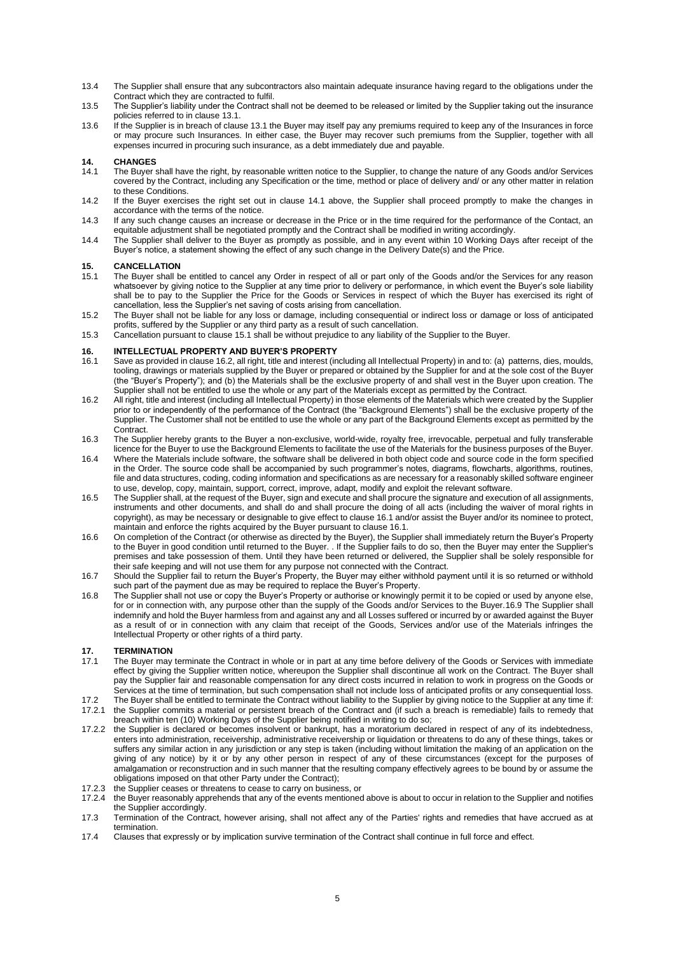- 13.4 The Supplier shall ensure that any subcontractors also maintain adequate insurance having regard to the obligations under the Contract which they are contracted to fulfil.
- 13.5 The Supplier's liability under the Contract shall not be deemed to be released or limited by the Supplier taking out the insurance policies referred to in clause [13.1.](#page-3-3)
- 13.6 If the Supplier is in breach of claus[e 13.1](#page-3-3) the Buyer may itself pay any premiums required to keep any of the Insurances in force or may procure such Insurances. In either case, the Buyer may recover such premiums from the Supplier, together with all expenses incurred in procuring such insurance, as a debt immediately due and payable.

### **14. CHANGES**

- <span id="page-4-0"></span>The Buyer shall have the right, by reasonable written notice to the Supplier, to change the nature of any Goods and/or Services covered by the Contract, including any Specification or the time, method or place of delivery and/ or any other matter in relation to these Conditions.
- 14.2 If the Buyer exercises the right set out in clause [14.1](#page-4-0) above, the Supplier shall proceed promptly to make the changes in accordance with the terms of the notice.
- 14.3 If any such change causes an increase or decrease in the Price or in the time required for the performance of the Contact, an equitable adjustment shall be negotiated promptly and the Contract shall be modified in writing accordingly.
- 14.4 The Supplier shall deliver to the Buyer as promptly as possible, and in any event within 10 Working Days after receipt of the Buyer's notice, a statement showing the effect of any such change in the Delivery Date(s) and the Price.

## **15. CANCELLATION**

- <span id="page-4-1"></span>The Buyer shall be entitled to cancel any Order in respect of all or part only of the Goods and/or the Services for any reason whatsoever by giving notice to the Supplier at any time prior to delivery or performance, in which event the Buyer's sole liability shall be to pay to the Supplier the Price for the Goods or Services in respect of which the Buyer has exercised its right of cancellation, less the Supplier's net saving of costs arising from cancellation.
- 15.2 The Buyer shall not be liable for any loss or damage, including consequential or indirect loss or damage or loss of anticipated profits, suffered by the Supplier or any third party as a result of such cancellation.
- 15.3 Cancellation pursuant to claus[e 15.1](#page-4-1) shall be without prejudice to any liability of the Supplier to the Buyer.

#### **16. INTELLECTUAL PROPERTY AND BUYER'S PROPERTY**

- <span id="page-4-3"></span>16.1 Save as provided in clause [16.2,](#page-4-2) all right, title and interest (including all Intellectual Property) in and to: (a) patterns, dies, moulds, tooling, drawings or materials supplied by the Buyer or prepared or obtained by the Supplier for and at the sole cost of the Buyer (the "Buyer's Property"); and (b) the Materials shall be the exclusive property of and shall vest in the Buyer upon creation. The Supplier shall not be entitled to use the whole or any part of the Materials except as permitted by the Contract.
- <span id="page-4-2"></span>16.2 All right, title and interest (including all Intellectual Property) in those elements of the Materials which were created by the Supplier prior to or independently of the performance of the Contract (the "Background Elements") shall be the exclusive property of the Supplier. The Customer shall not be entitled to use the whole or any part of the Background Elements except as permitted by the Contract.
- 16.3 The Supplier hereby grants to the Buyer a non-exclusive, world-wide, royalty free, irrevocable, perpetual and fully transferable licence for the Buyer to use the Background Elements to facilitate the use of the Materials for the business purposes of the Buyer.
- 16.4 Where the Materials include software, the software shall be delivered in both object code and source code in the form specified in the Order. The source code shall be accompanied by such programmer's notes, diagrams, flowcharts, algorithms, routines, file and data structures, coding, coding information and specifications as are necessary for a reasonably skilled software engineer to use, develop, copy, maintain, support, correct, improve, adapt, modify and exploit the relevant software.
- 16.5 The Supplier shall, at the request of the Buyer, sign and execute and shall procure the signature and execution of all assignments, instruments and other documents, and shall do and shall procure the doing of all acts (including the waiver of moral rights in copyright), as may be necessary or designable to give effect to claus[e 16.1](#page-4-3) and/or assist the Buyer and/or its nominee to protect, maintain and enforce the rights acquired by the Buyer pursuant to clause [16.1.](#page-4-3)
- 16.6 On completion of the Contract (or otherwise as directed by the Buyer), the Supplier shall immediately return the Buyer's Property to the Buyer in good condition until returned to the Buyer. . If the Supplier fails to do so, then the Buyer may enter the Supplier's premises and take possession of them. Until they have been returned or delivered, the Supplier shall be solely responsible for their safe keeping and will not use them for any purpose not connected with the Contract.
- 16.7 Should the Supplier fail to return the Buyer's Property, the Buyer may either withhold payment until it is so returned or withhold such part of the payment due as may be required to replace the Buyer's Property.
- 16.8 The Supplier shall not use or copy the Buyer's Property or authorise or knowingly permit it to be copied or used by anyone else, for or in connection with, any purpose other than the supply of the Goods and/or Services to the Buyer.16.9 The Supplier shall indemnify and hold the Buyer harmless from and against any and all Losses suffered or incurred by or awarded against the Buyer as a result of or in connection with any claim that receipt of the Goods, Services and/or use of the Materials infringes the Intellectual Property or other rights of a third party.

## **17. TERMINATION**

- The Buyer may terminate the Contract in whole or in part at any time before delivery of the Goods or Services with immediate effect by giving the Supplier written notice, whereupon the Supplier shall discontinue all work on the Contract. The Buyer shall pay the Supplier fair and reasonable compensation for any direct costs incurred in relation to work in progress on the Goods or Services at the time of termination, but such compensation shall not include loss of anticipated profits or any consequential loss.
- 17.2 The Buyer shall be entitled to terminate the Contract without liability to the Supplier by giving notice to the Supplier at any time if: 17.2.1 the Supplier commits a material or persistent breach of the Contract and (if such a breach is remediable) fails to remedy that breach within ten (10) Working Days of the Supplier being notified in writing to do so;
- 17.2.2 the Supplier is declared or becomes insolvent or bankrupt, has a moratorium declared in respect of any of its indebtedness, enters into administration, receivership, administrative receivership or liquidation or threatens to do any of these things, takes or suffers any similar action in any jurisdiction or any step is taken (including without limitation the making of an application on the giving of any notice) by it or by any other person in respect of any of these circumstances (except for the purposes of amalgamation or reconstruction and in such manner that the resulting company effectively agrees to be bound by or assume the obligations imposed on that other Party under the Contract);
- 17.2.3 the Supplier ceases or threatens to cease to carry on business, or
- 17.2.4 the Buyer reasonably apprehends that any of the events mentioned above is about to occur in relation to the Supplier and notifies the Supplier accordingly.
- 17.3 Termination of the Contract, however arising, shall not affect any of the Parties' rights and remedies that have accrued as at termination.
- 17.4 Clauses that expressly or by implication survive termination of the Contract shall continue in full force and effect.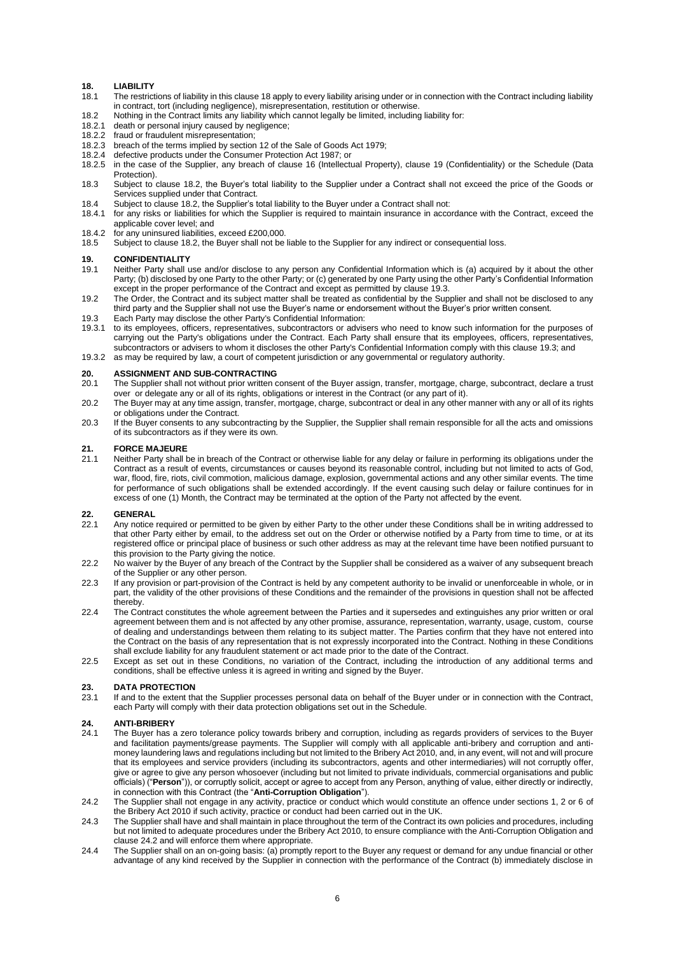## **18. LIABILITY**

- The restrictions of liability in this clause 18 apply to every liability arising under or in connection with the Contract including liability in contract, tort (including negligence), misrepresentation, restitution or otherwise.
- 18.2 Nothing in the Contract limits any liability which cannot legally be limited, including liability for:
- 18.2.1 death or personal injury caused by negligence;
- 18.2.2 fraud or fraudulent misrepresentation;
- 18.2.3 breach of the terms implied by section 12 of the Sale of Goods Act 1979;<br>18.2.4 defective products under the Consumer Protection Act 1987: or
- 18.2.4 defective products under the Consumer Protection Act 1987; or 18.2.5 in the case of the Supplier, any breach of clause 16 (Intellection)
- in the case of the Supplier, any breach of clause 16 (Intellectual Property), clause 19 (Confidentiality) or the Schedule (Data Protection).
- 18.3 Subject to clause 18.2, the Buyer's total liability to the Supplier under a Contract shall not exceed the price of the Goods or Services supplied under that Contract.
- 18.4 Subject to clause 18.2, the Supplier's total liability to the Buyer under a Contract shall not:
- 18.4.1 for any risks or liabilities for which the Supplier is required to maintain insurance in accordance with the Contract, exceed the applicable cover level; and
- 18.4.2 for any uninsured liabilities, exceed £200,000.<br>18.5 Subject to clause 18.2, the Buyer shall not be
- Subject to clause 18.2, the Buyer shall not be liable to the Supplier for any indirect or consequential loss.

### **19. CONFIDENTIALITY**

- Neither Party shall use and/or disclose to any person any Confidential Information which is (a) acquired by it about the other Party; (b) disclosed by one Party to the other Party; or (c) generated by one Party using the other Party's Confidential Information except in the proper performance of the Contract and except as permitted by clause 19.3.
- 19.2 The Order, the Contract and its subject matter shall be treated as confidential by the Supplier and shall not be disclosed to any third party and the Supplier shall not use the Buyer's name or endorsement without the Buyer's prior written consent.
- 19.3 Each Party may disclose the other Party's Confidential Information:<br>19.3.1 to its employees, officers, representatives, subcontractors or advis
- to its employees, officers, representatives, subcontractors or advisers who need to know such information for the purposes of carrying out the Party's obligations under the Contract. Each Party shall ensure that its employees, officers, representatives, subcontractors or advisers to whom it discloses the other Party's Confidential Information comply with this clause 19.3; and

19.3.2 as may be required by law, a court of competent jurisdiction or any governmental or regulatory authority.

#### **20. ASSIGNMENT AND SUB-CONTRACTING**

- 20.1 The Supplier shall not without prior written consent of the Buyer assign, transfer, mortgage, charge, subcontract, declare a trust over or delegate any or all of its rights, obligations or interest in the Contract (or any part of it).
- 20.2 The Buyer may at any time assign, transfer, mortgage, charge, subcontract or deal in any other manner with any or all of its rights or obligations under the Contract.
- 20.3 If the Buyer consents to any subcontracting by the Supplier, the Supplier shall remain responsible for all the acts and omissions of its subcontractors as if they were its own.

#### **21. FORCE MAJEURE**

21.1 Neither Party shall be in breach of the Contract or otherwise liable for any delay or failure in performing its obligations under the Contract as a result of events, circumstances or causes beyond its reasonable control, including but not limited to acts of God, war, flood, fire, riots, civil commotion, malicious damage, explosion, governmental actions and any other similar events. The time for performance of such obligations shall be extended accordingly. If the event causing such delay or failure continues for in excess of one (1) Month, the Contract may be terminated at the option of the Party not affected by the event.

### 22. **GENERAL**<br>22.1 Any notice

- 22.1 Any notice required or permitted to be given by either Party to the other under these Conditions shall be in writing addressed to that other Party either by email, to the address set out on the Order or otherwise notified by a Party from time to time, or at its registered office or principal place of business or such other address as may at the relevant time have been notified pursuant to this provision to the Party giving the notice.
- 22.2 No waiver by the Buyer of any breach of the Contract by the Supplier shall be considered as a waiver of any subsequent breach of the Supplier or any other person.
- 22.3 If any provision or part-provision of the Contract is held by any competent authority to be invalid or unenforceable in whole, or in part, the validity of the other provisions of these Conditions and the remainder of the provisions in question shall not be affected thereby.
- 22.4 The Contract constitutes the whole agreement between the Parties and it supersedes and extinguishes any prior written or oral agreement between them and is not affected by any other promise, assurance, representation, warranty, usage, custom, course of dealing and understandings between them relating to its subject matter. The Parties confirm that they have not entered into the Contract on the basis of any representation that is not expressly incorporated into the Contract. Nothing in these Conditions shall exclude liability for any fraudulent statement or act made prior to the date of the Contract.
- 22.5 Except as set out in these Conditions, no variation of the Contract, including the introduction of any additional terms and conditions, shall be effective unless it is agreed in writing and signed by the Buyer.

## 23. **DATA PROTECTION**<br>23.1 If and to the extent the

If and to the extent that the Supplier processes personal data on behalf of the Buyer under or in connection with the Contract, each Party will comply with their data protection obligations set out in the Schedule.

#### **24. ANTI-BRIBERY**

- 24.1 The Buyer has a zero tolerance policy towards bribery and corruption, including as regards providers of services to the Buyer and facilitation payments/grease payments. The Supplier will comply with all applicable anti-bribery and corruption and antimoney laundering laws and regulations including but not limited to the Bribery Act 2010, and, in any event, will not and will procure that its employees and service providers (including its subcontractors, agents and other intermediaries) will not corruptly offer, give or agree to give any person whosoever (including but not limited to private individuals, commercial organisations and public officials) ("**Person**")), or corruptly solicit, accept or agree to accept from any Person, anything of value, either directly or indirectly, in connection with this Contract (the "**Anti-Corruption Obligation**").
- 24.2 The Supplier shall not engage in any activity, practice or conduct which would constitute an offence under sections 1, 2 or 6 of the Bribery Act 2010 if such activity, practice or conduct had been carried out in the UK.
- 24.3 The Supplier shall have and shall maintain in place throughout the term of the Contract its own policies and procedures, including but not limited to adequate procedures under the Bribery Act 2010, to ensure compliance with the Anti-Corruption Obligation and clause 24.2 and will enforce them where appropriate.
- 24.4 The Supplier shall on an on-going basis: (a) promptly report to the Buyer any request or demand for any undue financial or other advantage of any kind received by the Supplier in connection with the performance of the Contract (b) immediately disclose in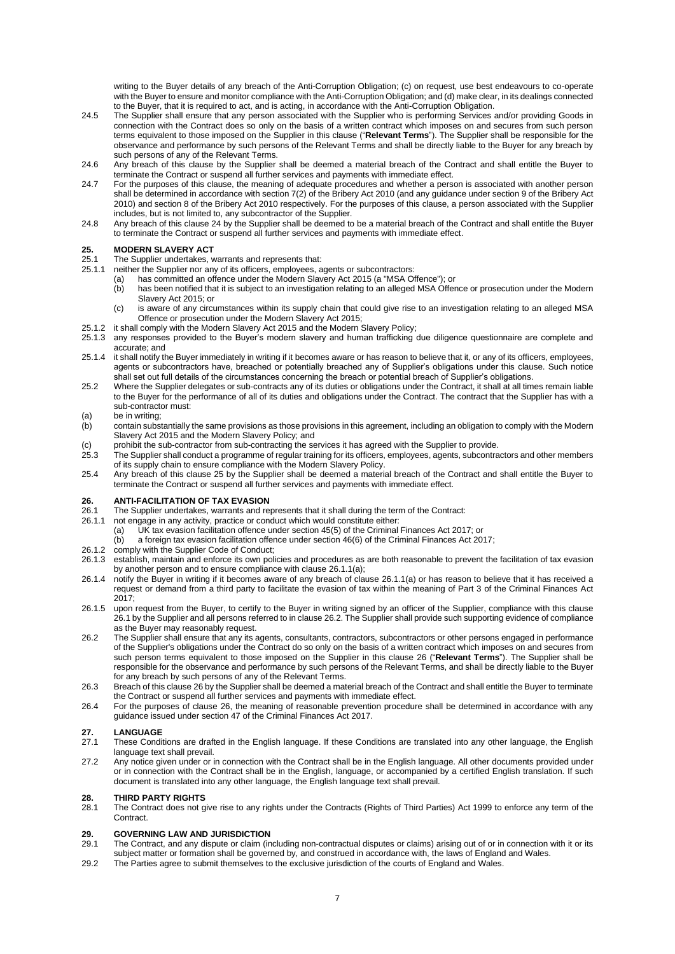writing to the Buyer details of any breach of the Anti-Corruption Obligation; (c) on request, use best endeavours to co-operate with the Buyer to ensure and monitor compliance with the Anti-Corruption Obligation; and (d) make clear, in its dealings connected to the Buyer, that it is required to act, and is acting, in accordance with the Anti-Corruption Obligation.

- 24.5 The Supplier shall ensure that any person associated with the Supplier who is performing Services and/or providing Goods in connection with the Contract does so only on the basis of a written contract which imposes on and secures from such person terms equivalent to those imposed on the Supplier in this clause ("**Relevant Terms**"). The Supplier shall be responsible for the observance and performance by such persons of the Relevant Terms and shall be directly liable to the Buyer for any breach by such persons of any of the Relevant Terms.
- 24.6 Any breach of this clause by the Supplier shall be deemed a material breach of the Contract and shall entitle the Buyer to terminate the Contract or suspend all further services and payments with immediate effect.
- 24.7 For the purposes of this clause, the meaning of adequate procedures and whether a person is associated with another person shall be determined in accordance with section 7(2) of the Bribery Act 2010 (and any guidance under section 9 of the Bribery Act 2010) and section 8 of the Bribery Act 2010 respectively. For the purposes of this clause, a person associated with the Supplier includes, but is not limited to, any subcontractor of the Supplier.
- 24.8 Any breach of this clause 24 by the Supplier shall be deemed to be a material breach of the Contract and shall entitle the Buyer to terminate the Contract or suspend all further services and payments with immediate effect.

### **25. MODERN SLAVERY ACT**

25.1 The Supplier undertakes, warrants and represents that:<br>25.1.1 peither the Supplier nor any of its officers, employees, a

- neither the Supplier nor any of its officers, employees, agents or subcontractors:
	- (a) has committed an offence under the Modern Slavery Act 2015 (a "MSA Offence"); or
		- has been notified that it is subject to an investigation relating to an alleged MSA Offence or prosecution under the Modern Slavery Act 2015; or
	- (c) is aware of any circumstances within its supply chain that could give rise to an investigation relating to an alleged MSA Offence or prosecution under the Modern Slavery Act 2015;
- 25.1.2 it shall comply with the Modern Slavery Act 2015 and the Modern Slavery Policy;
- 25.1.3 any responses provided to the Buyer's modern slavery and human trafficking due diligence questionnaire are complete and accurate; and
- 25.1.4 it shall notify the Buyer immediately in writing if it becomes aware or has reason to believe that it, or any of its officers, employees, agents or subcontractors have, breached or potentially breached any of Supplier's obligations under this clause. Such notice shall set out full details of the circumstances concerning the breach or potential breach of Supplier's obligations.
- 25.2 Where the Supplier delegates or sub-contracts any of its duties or obligations under the Contract, it shall at all times remain liable to the Buyer for the performance of all of its duties and obligations under the Contract. The contract that the Supplier has with a sub-contractor must:

### (a) be in writing;<br>(b) contain subst

- contain substantially the same provisions as those provisions in this agreement, including an obligation to comply with the Modern Slavery Act 2015 and the Modern Slavery Policy; and
- (c) prohibit the sub-contractor from sub-contracting the services it has agreed with the Supplier to provide.<br>25.3 The Supplier shall conduct a programme of regular training for its officers, employees, agents, subcontra
- 25.3 The Supplier shall conduct a programme of regular training for its officers, employees, agents, subcontractors and other members of its supply chain to ensure compliance with the Modern Slavery Policy.
- 25.4 Any breach of this clause 25 by the Supplier shall be deemed a material breach of the Contract and shall entitle the Buyer to terminate the Contract or suspend all further services and payments with immediate effect.

#### **26. ANTI-FACILITATION OF TAX EVASION**

- 26.1 The Supplier undertakes, warrants and represents that it shall during the term of the Contract:
- 26.1.1 not engage in any activity, practice or conduct which would constitute either:
	- (a) UK tax evasion facilitation offence under section 45(5) of the Criminal Finances Act 2017; or
		- (b) a foreign tax evasion facilitation offence under section 46(6) of the Criminal Finances Act 2017;
- 26.1.2 comply with the Supplier Code of Conduct;
- 26.1.3 establish, maintain and enforce its own policies and procedures as are both reasonable to prevent the facilitation of tax evasion by another person and to ensure compliance with clause 26.1.1(a);
- 26.1.4 notify the Buyer in writing if it becomes aware of any breach of clause 26.1.1(a) or has reason to believe that it has received a request or demand from a third party to facilitate the evasion of tax within the meaning of Part 3 of the Criminal Finances Act 2017;
- 26.1.5 upon request from the Buyer, to certify to the Buyer in writing signed by an officer of the Supplier, compliance with this clause 26.1 by the Supplier and all persons referred to in clause 26.2. The Supplier shall provide such supporting evidence of compliance as the Buyer may reasonably request.
- 26.2 The Supplier shall ensure that any its agents, consultants, contractors, subcontractors or other persons engaged in performance of the Supplier's obligations under the Contract do so only on the basis of a written contract which imposes on and secures from such person terms equivalent to those imposed on the Supplier in this clause 26 ("**Relevant Terms**"). The Supplier shall be responsible for the observance and performance by such persons of the Relevant Terms, and shall be directly liable to the Buyer for any breach by such persons of any of the Relevant Terms.
- 26.3 Breach of this clause 26 by the Supplier shall be deemed a material breach of the Contract and shall entitle the Buyer to terminate the Contract or suspend all further services and payments with immediate effect.
- 26.4 For the purposes of clause 26, the meaning of reasonable prevention procedure shall be determined in accordance with any guidance issued under section 47 of the Criminal Finances Act 2017.

## **27. LANGUAGE**

- 27.1 These Conditions are drafted in the English language. If these Conditions are translated into any other language, the English language text shall prevail.
- 27.2 Any notice given under or in connection with the Contract shall be in the English language. All other documents provided under or in connection with the Contract shall be in the English, language, or accompanied by a certified English translation. If such document is translated into any other language, the English language text shall prevail.

## **28. THIRD PARTY RIGHTS**

The Contract does not give rise to any rights under the Contracts (Rights of Third Parties) Act 1999 to enforce any term of the **Contract.** 

#### **29. GOVERNING LAW AND JURISDICTION**

- 29.1 The Contract, and any dispute or claim (including non-contractual disputes or claims) arising out of or in connection with it or its subject matter or formation shall be governed by, and construed in accordance with, the laws of England and Wales.
- 29.2 The Parties agree to submit themselves to the exclusive jurisdiction of the courts of England and Wales.